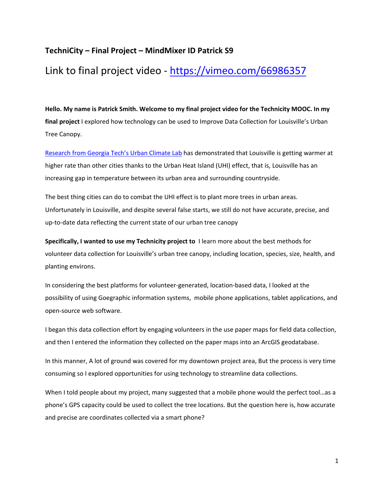## **TechniCity – Final Project – MindMixer ID Patrick S9**

## Link to final project video ‐ https://vimeo.com/66986357

**Hello. My name is Patrick Smith. Welcome to my final project video for the Technicity MOOC. In my final project** I explored how technology can be used to Improve Data Collection for Louisville's Urban Tree Canopy.

Research from Georgia Tech's Urban Climate Lab has demonstrated that Louisville is getting warmer at higher rate than other cities thanks to the Urban Heat Island (UHI) effect, that is, Louisville has an increasing gap in temperature between its urban area and surrounding countryside.

The best thing cities can do to combat the UHI effect is to plant more trees in urban areas. Unfortunately in Louisville, and despite several false starts, we still do not have accurate, precise, and up‐to‐date data reflecting the current state of our urban tree canopy

**Specifically, I wanted to use my Technicity project to** I learn more about the best methods for volunteer data collection for Louisville's urban tree canopy, including location, species, size, health, and planting environs.

In considering the best platforms for volunteer‐generated, location‐based data, I looked at the possibility of using Goegraphic information systems, mobile phone applications, tablet applications, and open‐source web software.

I began this data collection effort by engaging volunteers in the use paper maps for field data collection, and then I entered the information they collected on the paper maps into an ArcGIS geodatabase.

In this manner, A lot of ground was covered for my downtown project area, But the process is very time consuming so I explored opportunities for using technology to streamline data collections.

When I told people about my project, many suggested that a mobile phone would the perfect tool…as a phone's GPS capacity could be used to collect the tree locations. But the question here is, how accurate and precise are coordinates collected via a smart phone?